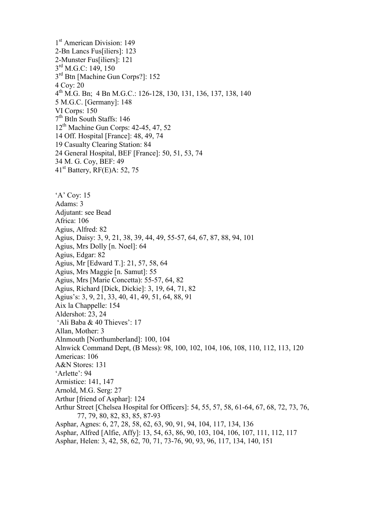1 st American Division: 149 2-Bn Lancs Fus[iliers]: 123 2-Munster Fus[iliers]: 121 3<sup>rd</sup> M.G.C: 149, 150 3<sup>rd</sup> Btn [Machine Gun Corps?]: 152 4 Coy: 20 4 th M.G. Bn; 4 Bn M.G.C.: 126-128, 130, 131, 136, 137, 138, 140 5 M.G.C. [Germany]: 148 VI Corps: 150 7 th Btln South Staffs: 146 12<sup>th</sup> Machine Gun Corps: 42-45, 47, 52 14 Off. Hospital [France]: 48, 49, 74 19 Casualty Clearing Station: 84 24 General Hospital, BEF [France]: 50, 51, 53, 74 34 M. G. Coy, BEF: 49  $41<sup>st</sup>$  Battery, RF(E)A: 52, 75 'A' Coy: 15 Adams: 3

Adjutant: see Bead Africa: 106 Agius, Alfred: 82 Agius, Daisy: 3, 9, 21, 38, 39, 44, 49, 55-57, 64, 67, 87, 88, 94, 101 Agius, Mrs Dolly [n. Noel]: 64 Agius, Edgar: 82 Agius, Mr [Edward T.]: 21, 57, 58, 64 Agius, Mrs Maggie [n. Samut]: 55 Agius, Mrs [Marie Concetta): 55-57, 64, 82 Agius, Richard [Dick, Dickie]: 3, 19, 64, 71, 82 Agius's: 3, 9, 21, 33, 40, 41, 49, 51, 64, 88, 91 Aix la Chappelle: 154 Aldershot: 23, 24 'Ali Baba & 40 Thieves': 17 Allan, Mother: 3 Alnmouth [Northumberland]: 100, 104 Alnwick Command Dept, (B Mess): 98, 100, 102, 104, 106, 108, 110, 112, 113, 120 Americas: 106 A&N Stores: 131 'Arlette': 94 Armistice: 141, 147 Arnold, M.G. Serg: 27 Arthur [friend of Asphar]: 124 Arthur Street [Chelsea Hospital for Officers]: 54, 55, 57, 58, 61-64, 67, 68, 72, 73, 76, 77, 79, 80, 82, 83, 85, 87-93 Asphar, Agnes: 6, 27, 28, 58, 62, 63, 90, 91, 94, 104, 117, 134, 136 Asphar, Alfred [Alfie, Affy]: 13, 54, 63, 86, 90, 103, 104, 106, 107, 111, 112, 117 Asphar, Helen: 3, 42, 58, 62, 70, 71, 73-76, 90, 93, 96, 117, 134, 140, 151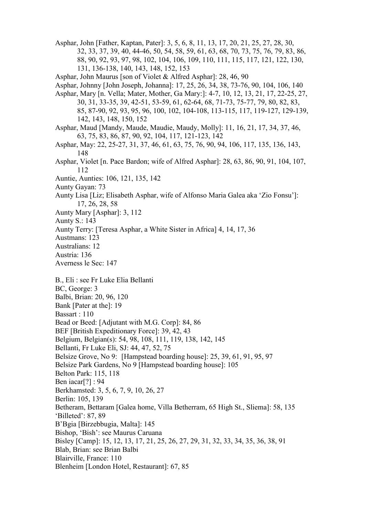Asphar, John [Father, Kaptan, Pater]: 3, 5, 6, 8, 11, 13, 17, 20, 21, 25, 27, 28, 30, 32, 33, 37, 39, 40, 44-46, 50, 54, 58, 59, 61, 63, 68, 70, 73, 75, 76, 79, 83, 86, 88, 90, 92, 93, 97, 98, 102, 104, 106, 109, 110, 111, 115, 117, 121, 122, 130, 131, 136-138, 140, 143, 148, 152, 153

Asphar, John Maurus [son of Violet & Alfred Asphar]: 28, 46, 90

Asphar, Johnny [John Joseph, Johanna]: 17, 25, 26, 34, 38, 73-76, 90, 104, 106, 140

Asphar, Mary [n. Vella; Mater, Mother, Ga Mary:]: 4-7, 10, 12, 13, 21, 17, 22-25, 27, 30, 31, 33-35, 39, 42-51, 53-59, 61, 62-64, 68, 71-73, 75-77, 79, 80, 82, 83, 85, 87-90, 92, 93, 95, 96, 100, 102, 104-108, 113-115, 117, 119-127, 129-139, 142, 143, 148, 150, 152

Asphar, Maud [Mandy, Maude, Maudie, Maudy, Molly]: 11, 16, 21, 17, 34, 37, 46, 63, 75, 83, 86, 87, 90, 92, 104, 117, 121-123, 142

- Asphar, May: 22, 25-27, 31, 37, 46, 61, 63, 75, 76, 90, 94, 106, 117, 135, 136, 143, 148
- Asphar, Violet [n. Pace Bardon; wife of Alfred Asphar]: 28, 63, 86, 90, 91, 104, 107, 112
- Auntie, Aunties: 106, 121, 135, 142
- Aunty Gayan: 73
- Aunty Lisa [Liz; Elisabeth Asphar, wife of Alfonso Maria Galea aka 'Zio Fonsu']: 17, 26, 28, 58
- Aunty Mary [Asphar]: 3, 112
- Aunty S.: 143
- Aunty Terry: [Teresa Asphar, a White Sister in Africa] 4, 14, 17, 36
- Austmans: 123
- Australians: 12
- Austria: 136
- Averness le Sec: 147

B., Eli : see Fr Luke Elia Bellanti

- BC, George: 3
- Balbi, Brian: 20, 96, 120
- Bank [Pater at the]: 19
- Bassart : 110
- Bead or Beed: [Adjutant with M.G. Corp]: 84, 86
- BEF [British Expeditionary Force]: 39, 42, 43
- Belgium, Belgian(s): 54, 98, 108, 111, 119, 138, 142, 145
- Bellanti, Fr Luke Eli, SJ: 44, 47, 52, 75
- Belsize Grove, No 9: [Hampstead boarding house]: 25, 39, 61, 91, 95, 97

Belsize Park Gardens, No 9 [Hampstead boarding house]: 105

- Belton Park: 115, 118
- Ben iacar[?] : 94
- Berkhamsted: 3, 5, 6, 7, 9, 10, 26, 27
- Berlin: 105, 139
- Betheram, Bettaram [Galea home, Villa Betherram, 65 High St., Sliema]: 58, 135 'Billeted': 87, 89
- B'Bgia [Birzebbugia, Malta]: 145
- Bishop, 'Bish': see Maurus Caruana
- Bisley [Camp]: 15, 12, 13, 17, 21, 25, 26, 27, 29, 31, 32, 33, 34, 35, 36, 38, 91
- Blab, Brian: see Brian Balbi
- Blairville, France: 110
- Blenheim [London Hotel, Restaurant]: 67, 85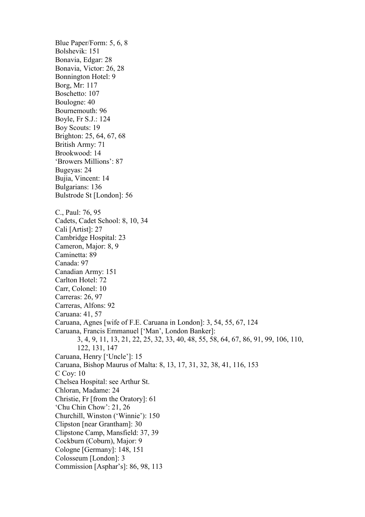Blue Paper/Form: 5, 6, 8 Bolshevik: 151 Bonavia, Edgar: 28 Bonavia, Victor: 26, 28 Bonnington Hotel: 9 Borg, Mr: 117 Boschetto: 107 Boulogne: 40 Bournemouth: 96 Boyle, Fr S.J.: 124 Boy Scouts: 19 Brighton: 25, 64, 67, 68 British Army: 71 Brookwood: 14 'Browers Millions': 87 Bugeyas: 24 Bujia, Vincent: 14 Bulgarians: 136 Bulstrode St [London]: 56 C., Paul: 76, 95 Cadets, Cadet School: 8, 10, 34 Cali [Artist]: 27 Cambridge Hospital: 23 Cameron, Major: 8, 9 Caminetta: 89 Canada: 97 Canadian Army: 151 Carlton Hotel: 72 Carr, Colonel: 10 Carreras: 26, 97 Carreras, Alfons: 92 Caruana: 41, 57 Caruana, Agnes [wife of F.E. Caruana in London]: 3, 54, 55, 67, 124 Caruana, Francis Emmanuel ['Man', London Banker]: 3, 4, 9, 11, 13, 21, 22, 25, 32, 33, 40, 48, 55, 58, 64, 67, 86, 91, 99, 106, 110, 122, 131, 147 Caruana, Henry ['Uncle']: 15 Caruana, Bishop Maurus of Malta: 8, 13, 17, 31, 32, 38, 41, 116, 153 C Coy: 10 Chelsea Hospital: see Arthur St. Chloran, Madame: 24 Christie, Fr [from the Oratory]: 61 'Chu Chin Chow': 21, 26 Churchill, Winston ('Winnie'): 150 Clipston [near Grantham]: 30 Clipstone Camp, Mansfield: 37, 39 Cockburn (Coburn), Major: 9 Cologne [Germany]: 148, 151 Colosseum [London]: 3 Commission [Asphar's]: 86, 98, 113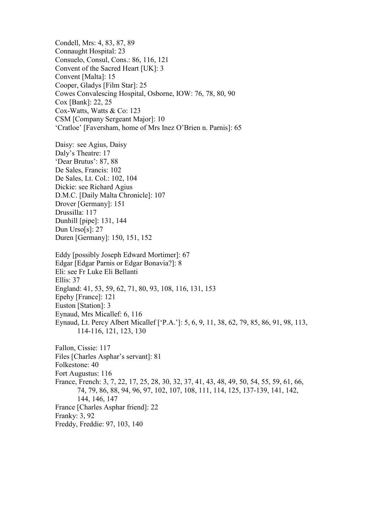Condell, Mrs: 4, 83, 87, 89 Connaught Hospital: 23 Consuelo, Consul, Cons.: 86, 116, 121 Convent of the Sacred Heart [UK]: 3 Convent [Malta]: 15 Cooper, Gladys [Film Star]: 25 Cowes Convalescing Hospital, Osborne, IOW: 76, 78, 80, 90 Cox [Bank]: 22, 25 Cox-Watts, Watts & Co: 123 CSM [Company Sergeant Major]: 10 'Cratloe' [Faversham, home of Mrs Inez O'Brien n. Parnis]: 65

Daisy: see Agius, Daisy Daly's Theatre: 17 'Dear Brutus': 87, 88 De Sales, Francis: 102 De Sales, Lt. Col.: 102, 104 Dickie: see Richard Agius D.M.C. [Daily Malta Chronicle]: 107 Drover [Germany]: 151 Drussilla: 117 Dunhill [pipe]: 131, 144 Dun Urso[s]: 27 Duren [Germany]: 150, 151, 152

Eddy [possibly Joseph Edward Mortimer]: 67 Edgar [Edgar Parnis or Edgar Bonavia?]: 8 Eli: see Fr Luke Eli Bellanti Ellis: 37 England: 41, 53, 59, 62, 71, 80, 93, 108, 116, 131, 153 Epehy [France]: 121 Euston [Station]: 3 Eynaud, Mrs Micallef: 6, 116 Eynaud, Lt. Percy Albert Micallef ['P.A.']: 5, 6, 9, 11, 38, 62, 79, 85, 86, 91, 98, 113, 114-116, 121, 123, 130

Fallon, Cissie: 117 Files [Charles Asphar's servant]: 81 Folkestone: 40 Fort Augustus: 116 France, French: 3, 7, 22, 17, 25, 28, 30, 32, 37, 41, 43, 48, 49, 50, 54, 55, 59, 61, 66, 74, 79, 86, 88, 94, 96, 97, 102, 107, 108, 111, 114, 125, 137-139, 141, 142, 144, 146, 147 France [Charles Asphar friend]: 22 Franky: 3, 92 Freddy, Freddie: 97, 103, 140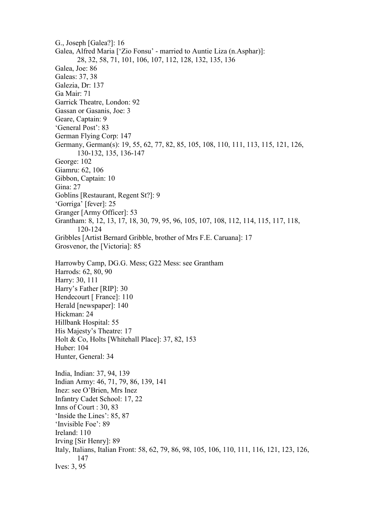G., Joseph [Galea?]: 16 Galea, Alfred Maria ['Zio Fonsu' - married to Auntie Liza (n.Asphar)]: 28, 32, 58, 71, 101, 106, 107, 112, 128, 132, 135, 136 Galea, Joe: 86 Galeas: 37, 38 Galezia, Dr: 137 Ga Mair: 71 Garrick Theatre, London: 92 Gassan or Gasanis, Joe: 3 Geare, Captain: 9 'General Post': 83 German Flying Corp: 147 Germany, German(s): 19, 55, 62, 77, 82, 85, 105, 108, 110, 111, 113, 115, 121, 126, 130-132, 135, 136-147 George: 102 Giamru: 62, 106 Gibbon, Captain: 10 Gina: 27 Goblins [Restaurant, Regent St?]: 9 'Gorriga' [fever]: 25 Granger [Army Officer]: 53 Grantham: 8, 12, 13, 17, 18, 30, 79, 95, 96, 105, 107, 108, 112, 114, 115, 117, 118, 120-124 Gribbles [Artist Bernard Gribble, brother of Mrs F.E. Caruana]: 17 Grosvenor, the [Victoria]: 85 Harrowby Camp, DG.G. Mess; G22 Mess: see Grantham Harrods: 62, 80, 90 Harry: 30, 111 Harry's Father [RIP]: 30 Hendecourt [ France]: 110 Herald [newspaper]: 140 Hickman: 24 Hillbank Hospital: 55 His Majesty's Theatre: 17 Holt & Co, Holts [Whitehall Place]: 37, 82, 153 Huber: 104 Hunter, General: 34 India, Indian: 37, 94, 139 Indian Army: 46, 71, 79, 86, 139, 141 Inez: see O'Brien, Mrs Inez Infantry Cadet School: 17, 22 Inns of Court : 30, 83 'Inside the Lines': 85, 87 'Invisible Foe': 89 Ireland: 110 Irving [Sir Henry]: 89 Italy, Italians, Italian Front: 58, 62, 79, 86, 98, 105, 106, 110, 111, 116, 121, 123, 126, 147 Ives: 3, 95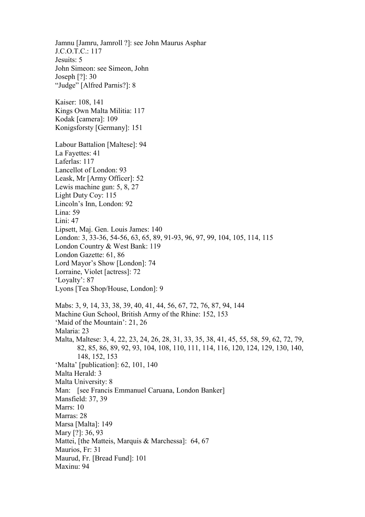Jamnu [Jamru, Jamroll ?]: see John Maurus Asphar J.C.O.T.C.: 117 Jesuits: 5 John Simeon: see Simeon, John Joseph [?]: 30 "Judge" [Alfred Parnis?]: 8 Kaiser: 108, 141 Kings Own Malta Militia: 117 Kodak [camera]: 109 Konigsforsty [Germany]: 151 Labour Battalion [Maltese]: 94 La Fayettes: 41 Laferlas: 117 Lancellot of London: 93 Leask, Mr [Army Officer]: 52 Lewis machine gun: 5, 8, 27 Light Duty Coy: 115 Lincoln's Inn, London: 92 Lina: 59 Lini: 47 Lipsett, Maj. Gen. Louis James: 140 London: 3, 33-36, 54-56, 63, 65, 89, 91-93, 96, 97, 99, 104, 105, 114, 115 London Country & West Bank: 119 London Gazette: 61, 86 Lord Mayor's Show [London]: 74 Lorraine, Violet [actress]: 72 'Loyalty': 87 Lyons [Tea Shop/House, London]: 9 Mabs: 3, 9, 14, 33, 38, 39, 40, 41, 44, 56, 67, 72, 76, 87, 94, 144 Machine Gun School, British Army of the Rhine: 152, 153 'Maid of the Mountain': 21, 26 Malaria: 23 Malta, Maltese: 3, 4, 22, 23, 24, 26, 28, 31, 33, 35, 38, 41, 45, 55, 58, 59, 62, 72, 79, 82, 85, 86, 89, 92, 93, 104, 108, 110, 111, 114, 116, 120, 124, 129, 130, 140, 148, 152, 153 'Malta' [publication]: 62, 101, 140 Malta Herald: 3 Malta University: 8 Man: [see Francis Emmanuel Caruana, London Banker] Mansfield: 37, 39 Marrs: 10 Marras: 28 Marsa [Malta]: 149 Mary [?]: 36, 93 Mattei, [the Matteis, Marquis & Marchessa]: 64, 67 Maurios, Fr: 31 Maurud, Fr. [Bread Fund]: 101 Maxinu: 94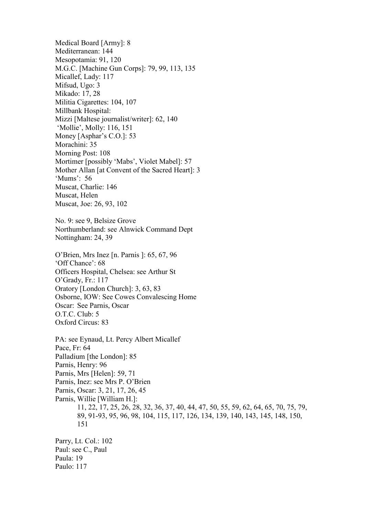Medical Board [Army]: 8 Mediterranean: 144 Mesopotamia: 91, 120 M.G.C. [Machine Gun Corps]: 79, 99, 113, 135 Micallef, Lady: 117 Mifsud, Ugo: 3 Mikado: 17, 28 Militia Cigarettes: 104, 107 Millbank Hospital: Mizzi [Maltese journalist/writer]: 62, 140 'Mollie', Molly: 116, 151 Money [Asphar's C.O.]: 53 Morachini: 35 Morning Post: 108 Mortimer [possibly 'Mabs', Violet Mabel]: 57 Mother Allan [at Convent of the Sacred Heart]: 3 'Mums': 56 Muscat, Charlie: 146 Muscat, Helen Muscat, Joe: 26, 93, 102 No. 9: see 9, Belsize Grove Northumberland: see Alnwick Command Dept Nottingham: 24, 39 O'Brien, Mrs Inez [n. Parnis ]: 65, 67, 96 'Off Chance': 68 Officers Hospital, Chelsea: see Arthur St

O'Grady, Fr.: 117 Oratory [London Church]: 3, 63, 83 Osborne, IOW: See Cowes Convalescing Home Oscar: See Parnis, Oscar O.T.C. Club: 5 Oxford Circus: 83

Paulo: 117

PA: see Eynaud, Lt. Percy Albert Micallef Pace, Fr: 64 Palladium [the London]: 85 Parnis, Henry: 96 Parnis, Mrs [Helen]: 59, 71 Parnis, Inez: see Mrs P. O'Brien Parnis, Oscar: 3, 21, 17, 26, 45 Parnis, Willie [William H.]: 11, 22, 17, 25, 26, 28, 32, 36, 37, 40, 44, 47, 50, 55, 59, 62, 64, 65, 70, 75, 79, 89, 91-93, 95, 96, 98, 104, 115, 117, 126, 134, 139, 140, 143, 145, 148, 150, 151 Parry, Lt. Col.: 102 Paul: see C., Paul Paula: 19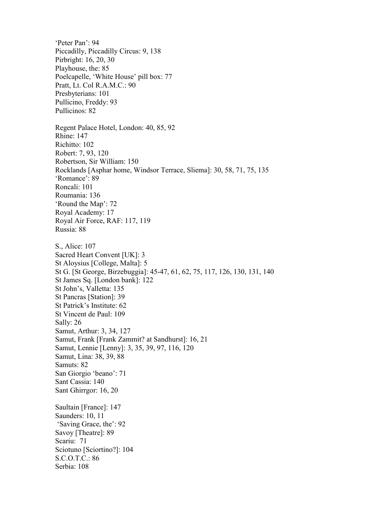'Peter Pan': 94 Piccadilly, Piccadilly Circus: 9, 138 Pirbright: 16, 20, 30 Playhouse, the: 85 Poelcapelle, 'White House' pill box: 77 Pratt, Lt. Col R.A.M.C.: 90 Presbyterians: 101 Pullicino, Freddy: 93 Pullicinos: 82 Regent Palace Hotel, London: 40, 85, 92 Rhine: 147 Richitto: 102 Robert: 7, 93, 120 Robertson, Sir William: 150 Rocklands [Asphar home, Windsor Terrace, Sliema]: 30, 58, 71, 75, 135 'Romance': 89 Roncali: 101 Roumania: 136 'Round the Map': 72 Royal Academy: 17 Royal Air Force, RAF: 117, 119 Russia: 88 S., Alice: 107 Sacred Heart Convent [UK]: 3 St Aloysius [College, Malta]: 5 St G. [St George, Birzebuggia]: 45-47, 61, 62, 75, 117, 126, 130, 131, 140 St James Sq. [London bank]: 122 St John's, Valletta: 135 St Pancras [Station]: 39 St Patrick's Institute: 62 St Vincent de Paul: 109 Sally: 26 Samut, Arthur: 3, 34, 127 Samut, Frank [Frank Zammit? at Sandhurst]: 16, 21 Samut, Lennie [Lenny]: 3, 35, 39, 97, 116, 120 Samut, Lina: 38, 39, 88 Samuts: 82 San Giorgio 'beano': 71 Sant Cassia: 140 Sant Ghirrgor: 16, 20 Saultain [France]: 147 Saunders: 10, 11 'Saving Grace, the': 92 Savoy [Theatre]: 89 Scariu: 71 Sciotuno [Sciortino?]: 104 S.C.O.T.C.: 86 Serbia: 108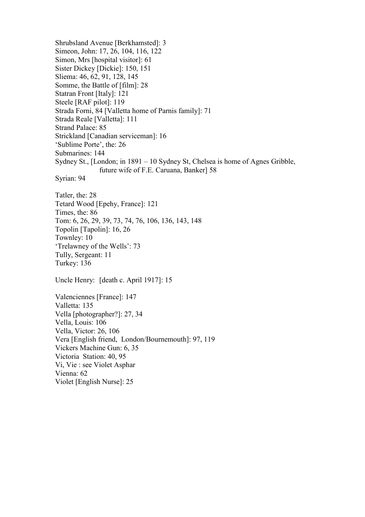Shrubsland Avenue [Berkhamsted]: 3 Simeon, John: 17, 26, 104, 116, 122 Simon, Mrs [hospital visitor]: 61 Sister Dickey [Dickie]: 150, 151 Sliema: 46, 62, 91, 128, 145 Somme, the Battle of [film]: 28 Statran Front [Italy]: 121 Steele [RAF pilot]: 119 Strada Forni, 84 [Valletta home of Parnis family]: 71 Strada Reale [Valletta]: 111 Strand Palace: 85 Strickland [Canadian serviceman]: 16 'Sublime Porte', the: 26 Submarines: 144 Sydney St., [London; in 1891 – 10 Sydney St, Chelsea is home of Agnes Gribble, future wife of F.E. Caruana, Banker] 58 Syrian: 94 Tatler, the: 28 Tetard Wood [Epehy, France]: 121 Times, the: 86 Tom: 6, 26, 29, 39, 73, 74, 76, 106, 136, 143, 148 Topolin [Tapolin]: 16, 26 Townley: 10 'Trelawney of the Wells': 73 Tully, Sergeant: 11 Turkey: 136 Uncle Henry: [death c. April 1917]: 15 Valenciennes [France]: 147 Valletta: 135 Vella [photographer?]: 27, 34 Vella, Louis: 106 Vella, Victor: 26, 106 Vera [English friend, London/Bournemouth]: 97, 119 Vickers Machine Gun: 6, 35 Victoria Station: 40, 95 Vi, Vie : see Violet Asphar Vienna: 62 Violet [English Nurse]: 25